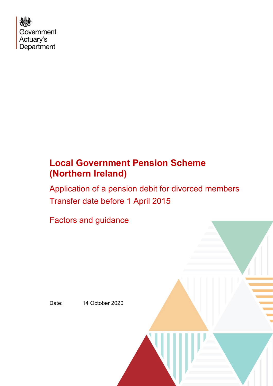

# **Local Government Pension Scheme (Northern Ireland)**

Application of a pension debit for divorced members Transfer date before 1 April 2015

Factors and guidance

Date: 14 October 2020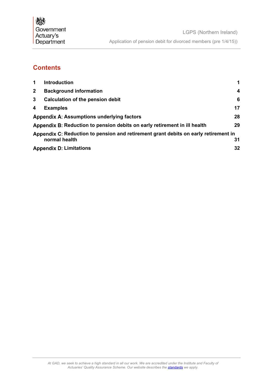## **Contents**

| $\mathbf 1$    | <b>Introduction</b>                                                                 | 1  |
|----------------|-------------------------------------------------------------------------------------|----|
| 2 <sup>1</sup> | <b>Background information</b>                                                       | 4  |
| 3              | Calculation of the pension debit                                                    | 6  |
| 4              | <b>Examples</b>                                                                     | 17 |
|                | <b>Appendix A: Assumptions underlying factors</b>                                   | 28 |
|                | Appendix B: Reduction to pension debits on early retirement in ill health           | 29 |
|                | Appendix C: Reduction to pension and retirement grant debits on early retirement in |    |
|                | normal health                                                                       | 31 |
|                | <b>Appendix D: Limitations</b>                                                      | 32 |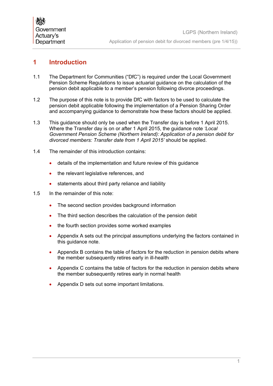## <span id="page-2-0"></span>**1 Introduction**

- 1.1 The Department for Communities ("DfC") is required under the Local Government Pension Scheme Regulations to issue actuarial guidance on the calculation of the pension debit applicable to a member's pension following divorce proceedings.
- 1.2 The purpose of this note is to provide DfC with factors to be used to calculate the pension debit applicable following the implementation of a Pension Sharing Order and accompanying guidance to demonstrate how these factors should be applied.
- 1.3 This guidance should only be used when the Transfer day is before 1 April 2015. Where the Transfer day is on or after 1 April 2015, the guidance note *'Local Government Pension Scheme (Northern Ireland): Application of a pension debit for divorced members: Transfer date from 1 April 2015'* should be applied.
- 1.4 The remainder of this introduction contains:
	- details of the implementation and future review of this guidance
	- the relevant legislative references, and
	- statements about third party reliance and liability
- 1.5 In the remainder of this note:
	- The second section provides background information
	- The third section describes the calculation of the pension debit
	- the fourth section provides some worked examples
	- Appendix A sets out the principal assumptions underlying the factors contained in this guidance note.
	- Appendix B contains the table of factors for the reduction in pension debits where the member subsequently retires early in ill-health
	- Appendix C contains the table of factors for the reduction in pension debits where the member subsequently retires early in normal health
	- Appendix D sets out some important limitations.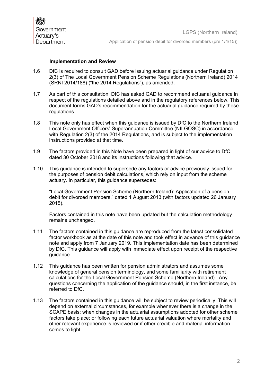## **Implementation and Review**

- 1.6 DfC is required to consult GAD before issuing actuarial guidance under Regulation 2(3) of The Local Government Pension Scheme Regulations (Northern Ireland) 2014 (SRNI 2014/188) ("the 2014 Regulations"), as amended.
- 1.7 As part of this consultation, DfC has asked GAD to recommend actuarial guidance in respect of the regulations detailed above and in the regulatory references below. This document forms GAD's recommendation for the actuarial guidance required by these regulations.
- 1.8 This note only has effect when this guidance is issued by DfC to the Northern Ireland Local Government Officers' Superannuation Committee (NILGOSC) in accordance with Regulation 2(3) of the 2014 Regulations, and is subject to the implementation instructions provided at that time.
- 1.9 The factors provided in this Note have been prepared in light of our advice to DfC dated 30 October 2018 and its instructions following that advice.
- 1.10 This guidance is intended to supersede any factors or advice previously issued for the purposes of pension debit calculations, which rely on input from the scheme actuary. In particular, this guidance supersedes:

"Local Government Pension Scheme (Northern Ireland): Application of a pension debit for divorced members." dated 1 August 2013 (with factors updated 26 January 2015).

Factors contained in this note have been updated but the calculation methodology remains unchanged.

- 1.11 The factors contained in this guidance are reproduced from the latest consolidated factor workbook as at the date of this note and took effect in advance of this guidance note and apply from 7 January 2019. This implementation date has been determined by DfC. This guidance will apply with immediate effect upon receipt of the respective guidance.
- 1.12 This guidance has been written for pension administrators and assumes some knowledge of general pension terminology, and some familiarity with retirement calculations for the Local Government Pension Scheme (Northern Ireland). Any questions concerning the application of the guidance should, in the first instance, be referred to DfC.
- 1.13 The factors contained in this guidance will be subject to review periodically. This will depend on external circumstances, for example whenever there is a change in the SCAPE basis; when changes in the actuarial assumptions adopted for other scheme factors take place; or following each future actuarial valuation where mortality and other relevant experience is reviewed or if other credible and material information comes to light.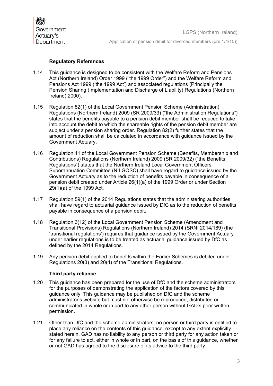## **Regulatory References**

- 1.14 This guidance is designed to be consistent with the Welfare Reform and Pensions Act (Northern Ireland) Order 1999 ("the 1999 Order") and the Welfare Reform and Pensions Act 1999 ('the 1999 Act') and associated regulations (Principally the Pension Sharing (Implementation and Discharge of Liability) Regulations (Northern Ireland) 2000).
- 1.15 Regulation 82(1) of the Local Government Pension Scheme (Administration) Regulations (Northern Ireland) 2009 (SR 2009/33) ("the Administration Regulations") states that the benefits payable to a pension debit member shall be reduced to take into account the debit to which the shareable rights of the pension debit member are subject under a pension sharing order. Regulation 82(2) further states that the amount of reduction shall be calculated in accordance with guidance issued by the Government Actuary.
- 1.16 Regulation 41 of the Local Government Pension Scheme (Benefits, Membership and Contributions) Regulations (Northern Ireland) 2009 (SR 2009/32) ("the Benefits Regulations") states that the Northern Ireland Local Government Officers' Superannuation Committee (NILGOSC) shall have regard to guidance issued by the Government Actuary as to the reduction of benefits payable in consequence of a pension debit created under Article 26(1)(a) of the 1999 Order or under Section 29(1)(a) of the 1999 Act.
- 1.17 Regulation 59(1) of the 2014 Regulations states that the administering authorities shall have regard to actuarial guidance issued by DfC as to the reduction of benefits payable in consequence of a pension debit.
- 1.18 Regulation 3(12) of the Local Government Pension Scheme (Amendment and Transitional Provisions) Regulations (Northern Ireland) 2014 (SRNI 2014/189) (the 'transitional regulations') requires that guidance issued by the Government Actuary under earlier regulations is to be treated as actuarial guidance issued by DfC as defined by the 2014 Regulations.
- 1.19 Any pension debit applied to benefits within the Earlier Schemes is debited under Regulations 20(3) and 20(4) of the Transitional Regulations.

#### **Third party reliance**

- 1.20 This guidance has been prepared for the use of DfC and the scheme administrators for the purposes of demonstrating the application of the factors covered by this guidance only. This guidance may be published on DfC and the scheme administrator's website but must not otherwise be reproduced, distributed or communicated in whole or in part to any other person without GAD's prior written permission.
- 1.21 Other than DfC and the scheme administrators, no person or third party is entitled to place any reliance on the contents of this guidance, except to any extent explicitly stated herein. GAD has no liability to any person or third party for any action taken or for any failure to act, either in whole or in part, on the basis of this guidance, whether or not GAD has agreed to the disclosure of its advice to the third party.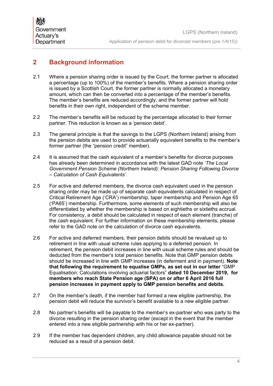## <span id="page-5-0"></span>**2 Background information**

- 2.1 Where a pension sharing order is issued by the Court, the former partner is allocated a percentage (up to 100%) of the member's benefits. Where a pension sharing order is issued by a Scottish Court, the former partner is normally allocated a monetary amount, which can then be converted into a percentage of the member's benefits. The member's benefits are reduced accordingly, and the former partner will hold benefits in their own right, independent of the scheme member.
- <span id="page-5-1"></span>2.2 The member's benefits will be reduced by the percentage allocated to their former partner. This reduction is known as a 'pension debit'.
- 2.3 The general principle is that the savings to the LGPS (Northern Ireland) arising from the pension debits are used to provide actuarially equivalent benefits to the member's former partner (the "pension credit" member).
- 2.4 It is assumed that the cash equivalent of a member's benefits for divorce purposes has already been determined in accordance with the latest GAD note *'The Local Government Pension Scheme (Northern Ireland): Pension Sharing Following Divorce – Calculation of Cash Equivalents'*.
- 2.5 For active and deferred members, the divorce cash equivalent used in the pension sharing order may be made up of separate cash equivalents calculated in respect of Critical Retirement Age ('CRA') membership, taper membership and Pension Age 65 ('PA65') membership. Furthermore, some elements of such membership will also be differentiated by whether the membership is based on eightieths or sixtieths accrual. For consistency, a debit should be calculated in respect of each element (tranche) of the cash equivalent. For further information on these membership elements, please refer to the GAD note on the calculation of divorce cash equivalents.
- 2.6 For active and deferred members, their pension debits should be revalued up to retirement in line with usual scheme rules applying to a deferred pension. In retirement, the pension debit increases in line with usual scheme rules and should be deducted from the member's total pension benefits. Note that GMP pension debits should be increased in line with GMP increases (in deferment and in payment). **Note that following the requirement to equalise GMPs, as set out in our letter** "GMP Equalisation: Calculations involving actuarial factors" **dated 10 December 2019, for members who reach State Pension age (SPA) on or after 6 April 2016 full pension increases in payment apply to GMP pension benefits and debits.**
- 2.7 On the member's death, if the member had formed a new eligible partnership, the pension debit will reduce the survivor's benefit available to a new eligible partner.
- 2.8 No partner's benefits will be payable to the member's ex-partner who was party to the divorce resulting in the pension sharing order (except in the event that the member entered into a new eligible partnership with his or her ex-partner).
- 2.9 If the member has dependent children, any child allowance payable should not be reduced as a result of a pension debit.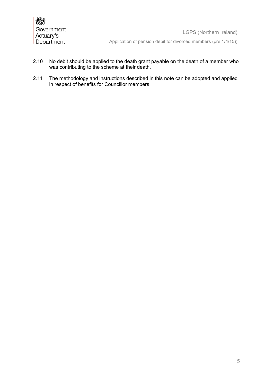- 2.10 No debit should be applied to the death grant payable on the death of a member who was contributing to the scheme at their death.
- 2.11 The methodology and instructions described in this note can be adopted and applied in respect of benefits for Councillor members.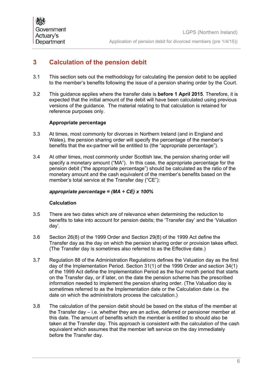## <span id="page-7-0"></span>**3 Calculation of the pension debit**

- 3.1 This section sets out the methodology for calculating the pension debit to be applied to the member's benefits following the issue of a pension sharing order by the Court.
- 3.2 This guidance applies where the transfer date is **before 1 April 2015**. Therefore, it is expected that the initial amount of the debit will have been calculated using previous versions of the guidance. The material relating to that calculation is retained for reference purposes only.

## **Appropriate percentage**

- 3.3 At times, most commonly for divorces in Northern Ireland (and in England and Wales), the pension sharing order will specify the percentage of the member's benefits that the ex-partner will be entitled to (the "appropriate percentage").
- 3.4 At other times, most commonly under Scottish law, the pension sharing order will specify a monetary amount ("MA"). In this case, the appropriate percentage for the pension debit ("the appropriate percentage") should be calculated as the ratio of the monetary amount and the cash equivalent of the member's benefits based on the member's total service at the Transfer day ("CE"):

#### *appropriate percentage = (MA ÷ CE) x 100%*

#### **Calculation**

- 3.5 There are two dates which are of relevance when determining the reduction to benefits to take into account for pension debits; the 'Transfer day' and the 'Valuation day'.
- 3.6 Section 26(8) of the 1999 Order and Section 29(8) of the 1999 Act define the Transfer day as the day on which the pension sharing order or provision takes effect. (The Transfer day is sometimes also referred to as the Effective date.)
- 3.7 Regulation 88 of the Administration Regulations defines the Valuation day as the first day of the Implementation Period. Section 31(1) of the 1999 Order and section 34(1) of the 1999 Act define the Implementation Period as the four month period that starts on the Transfer day, or if later, on the date the pension scheme has the prescribed information needed to implement the pension sharing order. (The Valuation day is sometimes referred to as the Implementation date or the Calculation date i.e. the date on which the administrators process the calculation.)
- <span id="page-7-1"></span>3.8 The calculation of the pension debit should be based on the status of the member at the Transfer day – i.e. whether they are an active, deferred or pensioner member at this date. The amount of benefits which the member is entitled to should also be taken at the Transfer day. This approach is consistent with the calculation of the cash equivalent which assumes that the member left service on the day immediately before the Transfer day.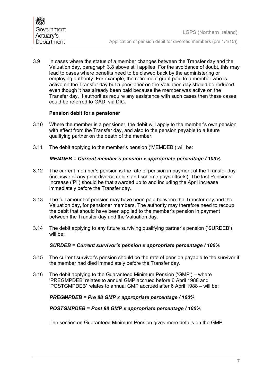3.9 In cases where the status of a member changes between the Transfer day and the Valuation day, paragraph [3.8](#page-7-1) above still applies. For the avoidance of doubt, this may lead to cases where benefits need to be clawed back by the administering or employing authority. For example, the retirement grant paid to a member who is active on the Transfer day but a pensioner on the Valuation day should be reduced even though it has already been paid because the member was active on the Transfer day. If authorities require any assistance with such cases then these cases could be referred to GAD, via DfC.

#### **Pension debit for a pensioner**

- 3.10 Where the member is a pensioner, the debit will apply to the member's own pension with effect from the Transfer day, and also to the pension payable to a future qualifying partner on the death of the member.
- 3.11 The debit applying to the member's pension ('MEMDEB') will be:

## *MEMDEB = Current member's pension x appropriate percentage / 100%*

- 3.12 The current member's pension is the rate of pension in payment at the Transfer day (inclusive of any prior divorce debits and scheme pays offsets). The last Pensions Increase ('PI') should be that awarded up to and including the April increase immediately before the Transfer day.
- 3.13 The full amount of pension may have been paid between the Transfer day and the Valuation day, for pensioner members. The authority may therefore need to recoup the debit that should have been applied to the member's pension in payment between the Transfer day and the Valuation day.
- 3.14 The debit applying to any future surviving qualifying partner's pension ('SURDEB') will be:

## *SURDEB = Current survivor's pension x appropriate percentage / 100%*

- 3.15 The current survivor's pension should be the rate of pension payable to the survivor if the member had died immediately before the Transfer day.
- 3.16 The debit applying to the Guaranteed Minimum Pension ('GMP') where 'PREGMPDEB' relates to annual GMP accrued before 6 April 1988 and 'POSTGMPDEB' relates to annual GMP accrued after 6 April 1988 – will be:

## *PREGMPDEB = Pre 88 GMP x appropriate percentage / 100%*

## *POSTGMPDEB = Post 88 GMP x appropriate percentage / 100%*

The section on Guaranteed Minimum Pension gives more details on the GMP.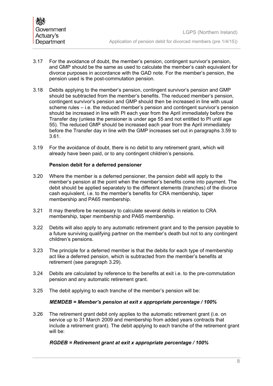- 3.17 For the avoidance of doubt, the member's pension, contingent survivor's pension, and GMP should be the same as used to calculate the member's cash equivalent for divorce purposes in accordance with the GAD note. For the member's pension, the pension used is the post-commutation pension.
- 3.18 Debits applying to the member's pension, contingent survivor's pension and GMP should be subtracted from the member's benefits. The reduced member's pension, contingent survivor's pension and GMP should then be increased in line with usual scheme rules – i.e. the reduced member's pension and contingent survivor's pension should be increased in line with PI each year from the April immediately before the Transfer day (unless the pensioner is under age 55 and not entitled to PI until age 55). The reduced GMP should be increased each year from the April immediately before the Transfer day in line with the GMP increases set out in paragraphs [3.59](#page-16-0) to [3.61.](#page-16-1)
- 3.19 For the avoidance of doubt, there is no debit to any retirement grant, which will already have been paid, or to any contingent children's pensions.

#### **Pension debit for a deferred pensioner**

- 3.20 Where the member is a deferred pensioner, the pension debit will apply to the member's pension at the point when the member's benefits come into payment. The debit should be applied separately to the different elements (tranches) of the divorce cash equivalent, i.e. to the member's benefits for CRA membership, taper membership and PA65 membership.
- 3.21 It may therefore be necessary to calculate several debits in relation to CRA membership, taper membership and PA65 membership.
- 3.22 Debits will also apply to any automatic retirement grant and to the pension payable to a future surviving qualifying partner on the member's death but not to any contingent children's pensions.
- 3.23 The principle for a deferred member is that the debits for each type of membership act like a deferred pension, which is subtracted from the member's benefits at retirement (see paragraph [3.29\)](#page-10-0).
- 3.24 Debits are calculated by reference to the benefits at exit i.e. to the pre-commutation pension and any automatic retirement grant.
- 3.25 The debit applying to each tranche of the member's pension will be:

## *MEMDEB = Member's pension at exit x appropriate percentage / 100%*

3.26 The retirement grant debit only applies to the automatic retirement grant (i.e. on service up to 31 March 2009 and membership from added years contracts that include a retirement grant). The debit applying to each tranche of the retirement grant will be:

## *RGDEB = Retirement grant at exit x appropriate percentage / 100%*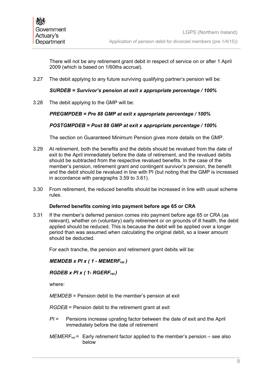There will not be any retirement grant debit in respect of service on or after 1 April 2009 (which is based on 1/60ths accrual).

3.27 The debit applying to any future surviving qualifying partner's pension will be:

#### *SURDEB = Survivor's pension at exit x appropriate percentage / 100%*

3.28 The debit applying to the GMP will be:

#### *PREGMPDEB = Pre 88 GMP at exit x appropriate percentage / 100%*

#### *POSTGMPDEB = Post 88 GMP at exit x appropriate percentage / 100%*

The section on Guaranteed Minimum Pension gives more details on the GMP.

- <span id="page-10-0"></span>3.29 At retirement, both the benefits and the debits should be revalued from the date of exit to the April immediately before the date of retirement, and the revalued debits should be subtracted from the respective revalued benefits. In the case of the member's pension, retirement grant and contingent survivor's pension, the benefit and the debit should be revalued in line with PI (but noting that the GMP is increased in accordance with paragraphs [3.59](#page-16-0) to [3.61\)](#page-16-1).
- 3.30 From retirement, the reduced benefits should be increased in line with usual scheme rules.

#### **Deferred benefits coming into payment before age 65 or CRA**

3.31 If the member's deferred pension comes into payment before age 65 or CRA (as relevant), whether on (voluntary) early retirement or on grounds of ill health, the debit applied should be reduced. This is because the debit will be applied over a longer period than was assumed when calculating the original debit, so a lower amount should be deducted.

For each tranche, the pension and retirement grant debits will be:

#### *MEMDEB x PI x ( 1 - MEMERFret )*

#### *RGDEB x PI x ( 1- RGERFret )*

where:

*MEMDEB* = Pension debit to the member's pension at exit

*RGDEB* = Pension debit to the retirement grant at exit

- *PI* = Pensions increase uprating factor between the date of exit and the April immediately before the date of retirement
- *MEMERFret* = Early retirement factor applied to the member's pension see also below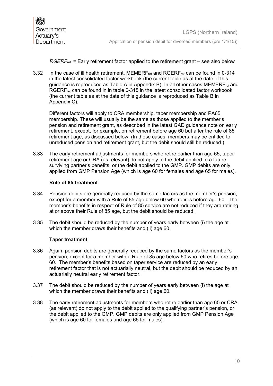*RGERF<sub>ret</sub>* = Early retirement factor applied to the retirement grant – see also below

3.32 In the case of ill health retirement, MEMERF<sub>ret</sub> and RGERF<sub>ret</sub> can be found in 0-314 in the latest consolidated factor workbook (the current table as at the date of this quidance is reproduced as Table A in Appendix B). In all other cases  $MEMERF_{ret}$  and RGERF<sub>ret</sub> can be found in in table 0-315 in the latest consolidated factor workbook (the current table as at the date of this guidance is reproduced as Table B in Appendix C).

Different factors will apply to CRA membership, taper membership and PA65 membership. These will usually be the same as those applied to the member's pension and retirement grant, as described in the latest GAD guidance note on early retirement, except, for example, on retirement before age 60 but after the rule of 85 retirement age, as discussed below. (In these cases, members may be entitled to unreduced pension and retirement grant, but the debit should still be reduced.)

3.33 The early retirement adjustments for members who retire earlier than age 65, taper retirement age or CRA (as relevant) do not apply to the debit applied to a future surviving partner's benefits, or the debit applied to the GMP. GMP debits are only applied from GMP Pension Age (which is age 60 for females and age 65 for males).

#### **Rule of 85 treatment**

- 3.34 Pension debits are generally reduced by the same factors as the member's pension, except for a member with a Rule of 85 age below 60 who retires before age 60. The member's benefits in respect of Rule of 85 service are not reduced if they are retiring at or above their Rule of 85 age, but the debit should be reduced.
- 3.35 The debit should be reduced by the number of years early between (i) the age at which the member draws their benefits and (ii) age 60.

#### **Taper treatment**

- 3.36 Again, pension debits are generally reduced by the same factors as the member's pension, except for a member with a Rule of 85 age below 60 who retires before age 60. The member's benefits based on taper service are reduced by an early retirement factor that is not actuarially neutral, but the debit should be reduced by an actuarially neutral early retirement factor.
- 3.37 The debit should be reduced by the number of years early between (i) the age at which the member draws their benefits and (ii) age 60.
- 3.38 The early retirement adjustments for members who retire earlier than age 65 or CRA (as relevant) do not apply to the debit applied to the qualifying partner's pension, or the debit applied to the GMP. GMP debits are only applied from GMP Pension Age (which is age 60 for females and age 65 for males).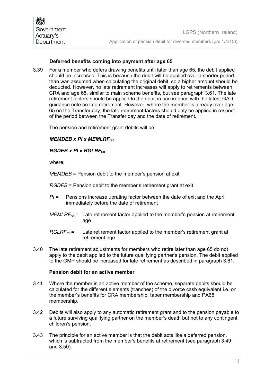## **Deferred benefits coming into payment after age 65**

3.39 For a member who defers drawing benefits until later than age 65, the debit applied should be increased. This is because the debit will be applied over a shorter period than was assumed when calculating the original debit, so a higher amount should be deducted. However, no late retirement increases will apply to retirements between CRA and age 65, similar to main scheme benefits, but see paragraph [3.61.](#page-16-1) The late retirement factors should be applied to the debit in accordance with the latest GAD guidance note on late retirement. However, where the member is already over age 65 on the Transfer day, the late retirement factors should only be applied in respect of the period between the Transfer day and the date of retirement.

The pension and retirement grant debits will be:

## *MEMDEB x PI x MEMLRFret*

## *RGDEB x PI x RGLRFret*

where:

*MEMDEB* = Pension debit to the member's pension at exit

*RGDEB* = Pension debit to the member's retirement grant at exit

- *PI* = Pensions increase uprating factor between the date of exit and the April immediately before the date of retirement
- *MEMLRFret* = Late retirement factor applied to the member's pension at retirement age
- *RGLRF<sub>ret</sub>* = Late retirement factor applied to the member's retirement grant at retirement age
- 3.40 The late retirement adjustments for members who retire later than age 65 do not apply to the debit applied to the future qualifying partner's pension. The debit applied to the GMP should be increased for late retirement as described in paragraph [3.61.](#page-16-1)

#### **Pension debit for an active member**

- 3.41 Where the member is an active member of the scheme, separate debits should be calculated for the different elements (tranches) of the divorce cash equivalent i.e. on the member's benefits for CRA membership, taper membership and PA65 membership.
- 3.42 Debits will also apply to any automatic retirement grant and to the pension payable to a future surviving qualifying partner on the member's death but not to any contingent children's pension.
- 3.43 The principle for an active member is that the debit acts like a deferred pension, which is subtracted from the member's benefits at retirement (see paragraph [3.49](#page-13-0) and [3.50\)](#page-13-1).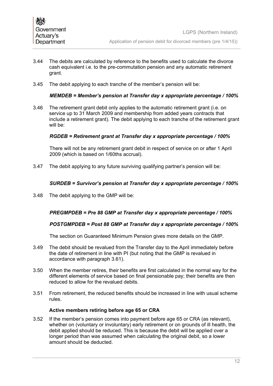- 3.44 The debits are calculated by reference to the benefits used to calculate the divorce cash equivalent i.e. to the pre-commutation pension and any automatic retirement grant.
- 3.45 The debit applying to each tranche of the member's pension will be:

## *MEMDEB = Member's pension at Transfer day x appropriate percentage / 100%*

3.46 The retirement grant debit only applies to the automatic retirement grant (i.e. on service up to 31 March 2009 and membership from added years contracts that include a retirement grant). The debit applying to each tranche of the retirement grant will be:

#### *RGDEB = Retirement grant at Transfer day x appropriate percentage / 100%*

There will not be any retirement grant debit in respect of service on or after 1 April 2009 (which is based on 1/60ths accrual).

3.47 The debit applying to any future surviving qualifying partner's pension will be:

#### *SURDEB = Survivor's pension at Transfer day x appropriate percentage / 100%*

3.48 The debit applying to the GMP will be:

## *PREGMPDEB = Pre 88 GMP at Transfer day x appropriate percentage / 100%*

#### *POSTGMPDEB = Post 88 GMP at Transfer day x appropriate percentage / 100%*

The section on Guaranteed Minimum Pension gives more details on the GMP.

- <span id="page-13-0"></span>3.49 The debit should be revalued from the Transfer day to the April immediately before the date of retirement in line with PI (but noting that the GMP is revalued in accordance with paragraph [3.61\)](#page-16-1).
- <span id="page-13-1"></span>3.50 When the member retires, their benefits are first calculated in the normal way for the different elements of service based on final pensionable pay; their benefits are then reduced to allow for the revalued debits.
- 3.51 From retirement, the reduced benefits should be increased in line with usual scheme rules.

#### **Active members retiring before age 65 or CRA**

<span id="page-13-2"></span>3.52 If the member's pension comes into payment before age 65 or CRA (as relevant), whether on (voluntary or involuntary) early retirement or on grounds of ill health, the debit applied should be reduced. This is because the debit will be applied over a longer period than was assumed when calculating the original debit, so a lower amount should be deducted.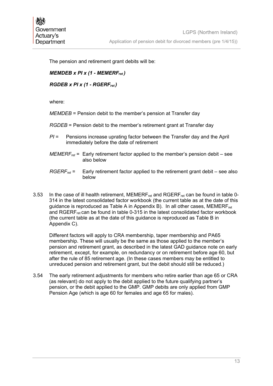The pension and retirement grant debits will be:

## *MEMDEB x PI x (1 - MEMERFret )*

*RGDEB x PI x (1 - RGERFret )*

where:

*MEMDEB* = Pension debit to the member's pension at Transfer day

- *RGDEB* = Pension debit to the member's retirement grant at Transfer day
- *PI* = Pensions increase uprating factor between the Transfer day and the April immediately before the date of retirement
- *MEMERFret* = Early retirement factor applied to the member's pension debit see also below
- *RGERFret* = Early retirement factor applied to the retirement grant debit see also below
- 3.53 In the case of ill health retirement, MEMERF<sub>ret</sub> and RGERF<sub>ret</sub> can be found in table 0-314 in the latest consolidated factor workbook (the current table as at the date of this guidance is reproduced as Table A in Appendix B). In all other cases, MEMERF $_{ret}$ and RGERF<sub>ret</sub> can be found in table 0-315 in the latest consolidated factor workbook (the current table as at the date of this guidance is reproduced as Table B in Appendix C).

Different factors will apply to CRA membership, taper membership and PA65 membership. These will usually be the same as those applied to the member's pension and retirement grant, as described in the latest GAD guidance note on early retirement, except, for example, on redundancy or on retirement before age 60, but after the rule of 85 retirement age. (In these cases members may be entitled to unreduced pension and retirement grant, but the debit should still be reduced.)

3.54 The early retirement adjustments for members who retire earlier than age 65 or CRA (as relevant) do not apply to the debit applied to the future qualifying partner's pension, or the debit applied to the GMP. GMP debits are only applied from GMP Pension Age (which is age 60 for females and age 65 for males).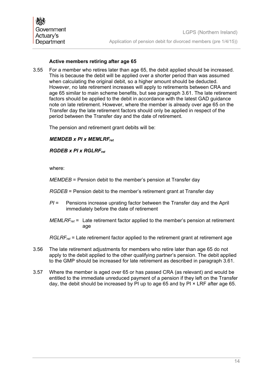## **Active members retiring after age 65**

3.55 For a member who retires later than age 65, the debit applied should be increased. This is because the debit will be applied over a shorter period than was assumed when calculating the original debit, so a higher amount should be deducted. However, no late retirement increases will apply to retirements between CRA and age 65 similar to main scheme benefits, but see paragraph [3.61.](#page-16-1) The late retirement factors should be applied to the debit in accordance with the latest GAD guidance note on late retirement. However, where the member is already over age 65 on the Transfer day the late retirement factors should only be applied in respect of the period between the Transfer day and the date of retirement.

The pension and retirement grant debits will be:

## *MEMDEB x PI x MEMLRFret*

*RGDEB x PI x RGLRFret*

where:

*MEMDEB* = Pension debit to the member's pension at Transfer day

- *RGDEB* = Pension debit to the member's retirement grant at Transfer day
- *PI* = Pensions increase uprating factor between the Transfer day and the April immediately before the date of retirement
- *MEMLRF<sub>ret</sub>* = Late retirement factor applied to the member's pension at retirement age

*RGLRFret* = Late retirement factor applied to the retirement grant at retirement age

- 3.56 The late retirement adjustments for members who retire later than age 65 do not apply to the debit applied to the other qualifying partner's pension. The debit applied to the GMP should be increased for late retirement as described in paragraph [3.61.](#page-16-1)
- <span id="page-15-0"></span>3.57 Where the member is aged over 65 or has passed CRA (as relevant) and would be entitled to the immediate unreduced payment of a pension if they left on the Transfer day, the debit should be increased by PI up to age 65 and by PI × LRF after age 65.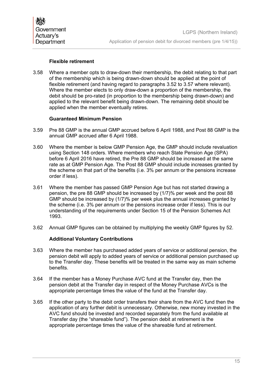## **Flexible retirement**

3.58 Where a member opts to draw-down their membership, the debit relating to that part of the membership which is being drawn-down should be applied at the point of flexible retirement (and having regard to paragraphs [3.52](#page-13-2) to [3.57](#page-15-0) where relevant). Where the member elects to only draw-down a proportion of the membership, the debit should be pro-rated (in proportion to the membership being drawn-down) and applied to the relevant benefit being drawn-down. The remaining debit should be applied when the member eventually retires.

#### **Guaranteed Minimum Pension**

- <span id="page-16-0"></span>3.59 Pre 88 GMP is the annual GMP accrued before 6 April 1988, and Post 88 GMP is the annual GMP accrued after 6 April 1988.
- 3.60 Where the member is below GMP Pension Age, the GMP should include revaluation using Section 148 orders. Where members who reach State Pension Age (SPA) before 6 April 2016 have retired, the Pre 88 GMP should be increased at the same rate as at GMP Pension Age. The Post 88 GMP should include increases granted by the scheme on that part of the benefits (i.e. 3% per annum or the pensions increase order if less).
- <span id="page-16-1"></span>3.61 Where the member has passed GMP Pension Age but has not started drawing a pension, the pre 88 GMP should be increased by (1/7)% per week and the post 88 GMP should be increased by (1/7)% per week plus the annual increases granted by the scheme (i.e. 3% per annum or the pensions increase order if less). This is our understanding of the requirements under Section 15 of the Pension Schemes Act 1993.
- 3.62 Annual GMP figures can be obtained by multiplying the weekly GMP figures by 52.

## **Additional Voluntary Contributions**

- 3.63 Where the member has purchased added years of service or additional pension, the pension debit will apply to added years of service or additional pension purchased up to the Transfer day. These benefits will be treated in the same way as main scheme benefits.
- 3.64 If the member has a Money Purchase AVC fund at the Transfer day, then the pension debit at the Transfer day in respect of the Money Purchase AVCs is the appropriate percentage times the value of the fund at the Transfer day.
- 3.65 If the other party to the debit order transfers their share from the AVC fund then the application of any further debit is unnecessary. Otherwise, new money invested in the AVC fund should be invested and recorded separately from the fund available at Transfer day (the "shareable fund"). The pension debit at retirement is the appropriate percentage times the value of the shareable fund at retirement.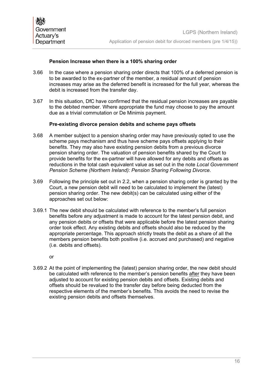## **Pension Increase when there is a 100% sharing order**

- 3.66 In the case where a pension sharing order directs that 100% of a deferred pension is to be awarded to the ex-partner of the member, a residual amount of pension increases may arise as the deferred benefit is increased for the full year, whereas the debit is increased from the transfer day.
- 3.67 In this situation, DfC have confirmed that the residual pension increases are payable to the debited member. Where appropriate the fund may choose to pay the amount due as a trivial commutation or De Minimis payment.

#### **Pre-existing divorce pension debits and scheme pays offsets**

- 3.68 A member subject to a pension sharing order may have previously opted to use the scheme pays mechanism and thus have scheme pays offsets applying to their benefits. They may also have existing pension debits from a previous divorce pension sharing order. The valuation of pension benefits shared by the Court to provide benefits for the ex-partner will have allowed for any debits and offsets as reductions in the total cash equivalent value as set out in the note *Local Government Pension Scheme (Northern Ireland): Pension Sharing Following Divorce.*
- 3.69 Following the principle set out in [2.2,](#page-5-1) when a pension sharing order is granted by the Court, a new pension debit will need to be calculated to implement the (latest) pension sharing order. The new debit(s) can be calculated using either of the approaches set out below:
- 3.69.1 The new debit should be calculated with reference to the member's full pension benefits before any adjustment is made to account for the latest pension debit, and any pension debits or offsets that were applicable before the latest pension sharing order took effect. Any existing debits and offsets should also be reduced by the appropriate percentage. This approach strictly treats the debit as a share of all the members pension benefits both positive (i.e. accrued and purchased) and negative (i.e. debits and offsets).

or

3.69.2 At the point of implementing the (latest) pension sharing order, the new debit should be calculated with reference to the member's pension benefits after they have been adjusted to account for existing pension debits and offsets. Existing debits and offsets should be revalued to the transfer day before being deducted from the respective elements of the member's benefits. This avoids the need to revise the existing pension debits and offsets themselves.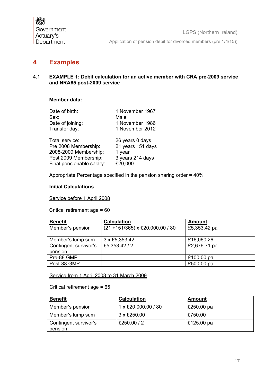## <span id="page-18-0"></span>**4 Examples**

#### 4.1 **EXAMPLE 1: Debit calculation for an active member with CRA pre-2009 service and NRA65 post-2009 service**

## **Member data:**

| Date of birth:            | 1 November 1967   |
|---------------------------|-------------------|
| Sex:                      | Male              |
| Date of joining:          | 1 November 1986   |
| Transfer day:             | 1 November 2012   |
| Total service:            | 26 years 0 days   |
| Pre 2008 Membership:      | 21 years 151 days |
| 2008-2009 Membership:     | 1 year            |
| Post 2009 Membership:     | 3 years 214 days  |
| Final pensionable salary: | £20,000           |

Appropriate Percentage specified in the pension sharing order = 40%

#### **Initial Calculations**

Service before 1 April 2008

Critical retirement age = 60

| <b>Benefit</b>        | <b>Calculation</b>                 | <b>Amount</b> |
|-----------------------|------------------------------------|---------------|
| Member's pension      | $(21 + 151/365)$ x £20,000.00 / 80 | £5,353.42 pa  |
|                       |                                    |               |
| Member's lump sum     | 3 x £5,353.42                      | £16,060.26    |
| Contingent survivor's | £5,353.42/2                        | £2,676.71 pa  |
| pension               |                                    |               |
| Pre-88 GMP            |                                    | £100.00 pa    |
| Post-88 GMP           |                                    | £500.00 pa    |

Service from 1 April 2008 to 31 March 2009

Critical retirement age = 65

| <b>Benefit</b>                   | <b>Calculation</b>  | Amount     |
|----------------------------------|---------------------|------------|
| Member's pension                 | 1 x £20,000.00 / 80 | £250.00 pa |
| Member's lump sum                | $3 \times$ £250.00  | £750.00    |
| Contingent survivor's<br>pension | £250.00 / 2         | £125.00 pa |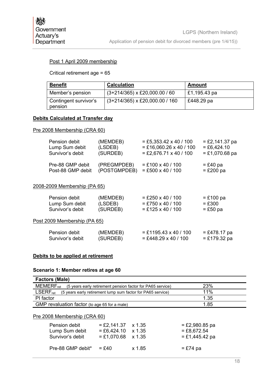## Post 1 April 2009 membership

Critical retirement age = 65

| <b>Benefit</b>                   | <b>Calculation</b>               | Amount       |
|----------------------------------|----------------------------------|--------------|
| Member's pension                 | $(3+214/365)$ x £20,000.00 / 60  | £1,195.43 pa |
| Contingent survivor's<br>pension | $(3+214/365)$ x £20,000.00 / 160 | £448.29 pa   |

#### **Debits Calculated at Transfer day**

#### Pre 2008 Membership (CRA 60)

| Pension debit     | (MEMDEB)     | $=$ £5,353.42 x 40 / 100  | $=$ £2,141.37 pa |
|-------------------|--------------|---------------------------|------------------|
| Lump Sum debit    | (LSDEB)      | $=$ £16,060.26 x 40 / 100 | $= £6,424.10$    |
| Survivor's debit  | (SURDEB)     | $=$ £2,676.71 x 40 / 100  | $= £1,070.68$ pa |
| Pre-88 GMP debit  | (PREGMPDEB)  | $=$ £100 x 40 / 100       | $=$ £40 pa       |
| Post-88 GMP debit | (POSTGMPDEB) | $= £500 \times 40 / 100$  | $=$ £200 pa      |

#### 2008-2009 Membership (PA 65)

| Pension debit                | (MEMDEB) | $=$ £250 x 40 / 100     | $=$ £100 pa    |
|------------------------------|----------|-------------------------|----------------|
| Lump Sum debit               | (LSDEB)  | $=$ £750 x 40 / 100     | $=$ £300       |
| Survivor's debit             | (SURDEB) | $=$ £125 x 40 / 100     | $=$ £50 pa     |
| Post 2009 Membership (PA 65) |          |                         |                |
| Pension debit                | (MEMDEB) | $=$ £1195.43 x 40 / 100 | $= £478.17$ pa |
| Survivor's debit             | (SURDEB) | $=$ £448.29 x 40 / 100  | $= £179.32$ pa |

## **Debits to be applied at retirement**

#### **Scenario 1: Member retires at age 60**

| <b>Factors (Male)</b>                                                        |                  |                                                            |                  |  |  |
|------------------------------------------------------------------------------|------------------|------------------------------------------------------------|------------------|--|--|
| <b>MEMERF</b> <sub>ret</sub>                                                 |                  | (5 years early retirement pension factor for PA65 service) | 23%              |  |  |
| $LSERF_{ret}$<br>(5 years early retirement lump sum factor for PA65 service) |                  |                                                            | 11%              |  |  |
| PI factor                                                                    |                  |                                                            | 1.35             |  |  |
| GMP revaluation factor (to age 65 for a male)                                | 1.85             |                                                            |                  |  |  |
| Pre 2008 Membership (CRA 60)                                                 |                  |                                                            |                  |  |  |
| Pension debit                                                                | $=$ £2,980.85 pa |                                                            |                  |  |  |
| Lump Sum debit                                                               | $= £6,424.10$    | $x\,1.35$                                                  | $=$ £8,672.54    |  |  |
| Survivor's debit                                                             | $= £1,070.68$    | $x\,1.35$                                                  | $=$ £1,445.42 pa |  |  |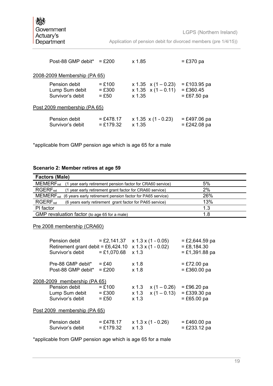Application of pension debit for divorced members (pre 1/4/15))

| Post-88 GMP debit <sup>*</sup> = £200               |                                 | x 1.85                                                            | $=$ £370 pa                                    |
|-----------------------------------------------------|---------------------------------|-------------------------------------------------------------------|------------------------------------------------|
| 2008-2009 Membership (PA 65)                        |                                 |                                                                   |                                                |
| Pension debit<br>Lump Sum debit<br>Survivor's debit | $= £100$<br>$=$ £300<br>$=$ £50 | $x 1.35 \quad x (1 - 0.23)$<br>$x 1.35 x (1 - 0.11)$<br>$x\,1.35$ | $= £103.95$ pa<br>$= £360.45$<br>$= £67.50$ pa |
| Post 2009 membership (PA 65)                        |                                 |                                                                   |                                                |
| Pension debit<br>Survivor's debit                   | $= £478.17$<br>$= £179.32$      | $x 1.35 x (1 - 0.23)$<br>$x\sqrt{1.35}$                           | $= £497.06$ pa<br>$=$ £242.08 pa               |

\*applicable from GMP pension age which is age 65 for a male

#### **Scenario 2: Member retires at age 59**

| <b>Factors (Male)</b>                                                                      |     |  |  |
|--------------------------------------------------------------------------------------------|-----|--|--|
| <b>MEMERF</b> <sub>ret</sub><br>(1 year early retirement pension factor for CRA60 service) | 5%  |  |  |
| <b>RGERF</b> <sub>ret</sub><br>(1 year early retirement grant factor for CRA60 service)    | 2%  |  |  |
| <b>MEMERF</b> <sub>ret</sub><br>(6 years early retirement pension factor for PA65 service) | 26% |  |  |
| <b>RGERF</b> <sub>ret</sub><br>(6 years early retirement grant factor for PA65 service)    | 13% |  |  |
| PI factor                                                                                  | 1.3 |  |  |
| GMP revaluation factor (to age 65 for a male)                                              | 1.8 |  |  |

## Pre 2008 membership (CRA60)

| Pension debit<br>Retirement grant debit = $£6,424.10$ | $=$ £2,141.37        |                    | $x$ 1.3 x (1 - 0.05)<br>$x 1.3 x (1 - 0.02)$ | $=$ £2,644.59 pa<br>$=$ £8,184.30 |
|-------------------------------------------------------|----------------------|--------------------|----------------------------------------------|-----------------------------------|
| Survivor's debit                                      | $= £1,070.68$        | x <sub>1.3</sub>   |                                              | $= £1,391.88$ pa                  |
| Pre-88 GMP debit*                                     | $=$ £40              | x <sub>1.8</sub>   |                                              | $=$ £72.00 pa                     |
| Post-88 GMP debit*                                    | $=$ £200             | x <sub>1.8</sub>   |                                              | $= £360.00$ pa                    |
| 2008-2009 membership (PA 65)                          |                      |                    |                                              |                                   |
| Pension debit<br>Lump Sum debit                       | $=$ £100<br>$=$ £300 | $x$ 1.3<br>$x$ 1.3 | $x(1 - 0.26)$<br>$x(1 - 0.13)$               | $=$ £96.20 pa<br>$= £339.30$ pa   |
| Survivor's debit<br>Post 2009 membership (PA 65)      | $=$ £50              | x <sub>1.3</sub>   |                                              | $= £65.00$ pa                     |
|                                                       |                      |                    |                                              |                                   |
| Pension debit                                         | $= £478.17$          |                    | $x 1.3 x (1 - 0.26)$                         | $= £460.00$ pa                    |
| Survivor's debit                                      | $= £179.32$          | x <sub>1.3</sub>   |                                              | $=$ £233.12 pa                    |

\*applicable from GMP pension age which is age 65 for a male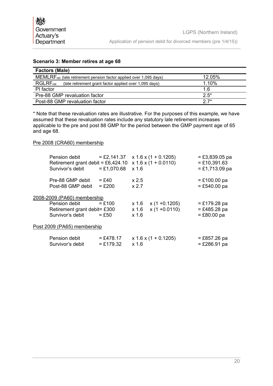## **Scenario 3: Member retires at age 68**

| <b>Factors (Male)</b>                                                                    |        |  |  |
|------------------------------------------------------------------------------------------|--------|--|--|
| 12.05%<br>MEMLRF <sub>ret</sub> (late retirement pension factor applied over 1,095 days) |        |  |  |
| 1.10%<br>$RGLRF_{ret}$<br>(late retirement grant factor applied over 1,095 days)         |        |  |  |
| PI factor                                                                                | 1.6    |  |  |
| Pre-88 GMP revaluation factor                                                            | $2.5*$ |  |  |
| $27*$<br>Post-88 GMP revaluation factor                                                  |        |  |  |

\* Note that these revaluation rates are illustrative. For the purposes of this example, we have assumed that these revaluation rates include any statutory late retirement increases applicable to the pre and post 88 GMP for the period between the GMP payment age of 65 and age 68.

#### Pre 2008 (CRA60) membership

| Pension debit<br>Survivor's debit     | Retirement grant debit = £6,424.10<br>$= £1,070.68$ | $=$ £2,141.37 $\times$ 1.6 $\times$ (1 + 0.1205)<br>$x 1.6 x (1 + 0.0110)$<br>$x$ 1.6 | $= £3,839.05$ pa<br>$= £10,391.63$<br>$= £1,713.09$ pa |
|---------------------------------------|-----------------------------------------------------|---------------------------------------------------------------------------------------|--------------------------------------------------------|
| Pre-88 GMP debit<br>Post-88 GMP debit | $=$ £40<br>$=$ £200                                 | x 2.5<br>x 2.7                                                                        | $= £100.00$ pa<br>$= £540.00$ pa                       |
| 2008-2009 (PA60) membership           |                                                     |                                                                                       |                                                        |
| Pension debit<br>Survivor's debit     | $=$ £100<br>Retirement grant debit= £300<br>$=$ £50 | $x(1 + 0.1205)$<br>x 1.6<br>$x(1 + 0.0110)$<br>x 1.6<br>$x$ 1.6                       | $= £179.28$ pa<br>$= £485.28$ pa<br>$= £80.00$ pa      |
| Post 2009 (PA65) membership           |                                                     |                                                                                       |                                                        |
| Pension debit<br>Survivor's debit     | $= £478.17$<br>$= £179.32$                          | $x 1.6 x (1 + 0.1205)$<br>$x$ 1.6                                                     | $= £857.26$ pa<br>$=$ £286.91 pa                       |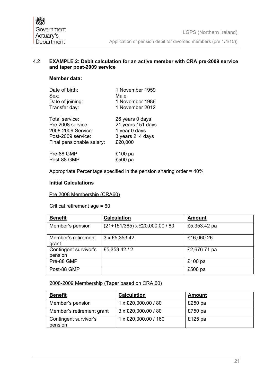#### 4.2 **EXAMPLE 2: Debit calculation for an active member with CRA pre-2009 service and taper post-2009 service**

## **Member data:**

| Date of birth:<br>Sex:    | 1 November 1959<br>Male |
|---------------------------|-------------------------|
| Date of joining:          | 1 November 1986         |
| Transfer day:             | 1 November 2012         |
| Total service:            | 26 years 0 days         |
| Pre 2008 service:         | 21 years 151 days       |
| 2008-2009 Service:        | 1 year 0 days           |
| Post-2009 service:        | 3 years 214 days        |
| Final pensionable salary: | £20,000                 |
| <b>D.J. 00 OMD</b>        | <b>CAOO --</b>          |

Pre-88 GMP 6100 pa<br>Post-88 GMP 6500 pa Post-88 GMP

Appropriate Percentage specified in the pension sharing order = 40%

#### **Initial Calculations**

#### Pre 2008 Membership (CRA60)

Critical retirement age = 60

| <b>Benefit</b>                   | <b>Calculation</b>             | <b>Amount</b> |
|----------------------------------|--------------------------------|---------------|
| Member's pension                 | (21+151/365) x £20,000.00 / 80 | £5,353.42 pa  |
| Member's retirement<br>grant     | 3 x £5,353.42                  | £16,060.26    |
| Contingent survivor's<br>pension | £5,353.42/2                    | £2,676.71 pa  |
| Pre-88 GMP                       |                                | £100 $pa$     |
| Post-88 GMP                      |                                | £500 pa       |

#### 2008-2009 Membership (Taper based on CRA 60)

| <b>Benefit</b>                   | <b>Calculation</b>   | <b>Amount</b> |
|----------------------------------|----------------------|---------------|
| Member's pension                 | 1 x £20,000.00 / 80  | £250 $pa$     |
| Member's retirement grant        | 3 x £20,000.00 / 80  | £750 $pa$     |
| Contingent survivor's<br>pension | 1 x £20,000.00 / 160 | £125 $pa$     |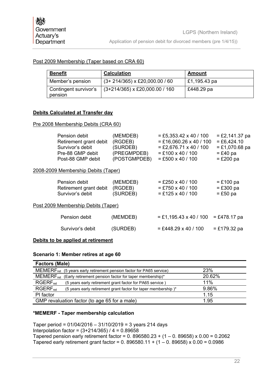## Post 2009 Membership (Taper based on CRA 60)

| <u>Benefit</u>                   | <b>Calculation</b>               | <u>Amount</u> |
|----------------------------------|----------------------------------|---------------|
| Member's pension                 | $(3+214/365)$ x £20,000.00 / 60  | £1,195.43 pa  |
| Contingent survivor's<br>pension | $(3+214/365)$ x £20,000.00 / 160 | £448.29 pa    |

## **Debits Calculated at Transfer day**

#### Pre 2008 Membership Debits (CRA 60)

| Pension debit<br>Retirement grant debit<br>Survivor's debit<br>Pre-88 GMP debit<br>Post-88 GMP debit | (MEMDEB)<br>(RGDEB)<br>(SURDEB)<br>(PREGMPDEB)<br>(POSTGMPDEB) | $=$ £5,353.42 x 40 / 100<br>$=$ £16,060.26 x 40 / 100<br>$=$ £2,676.71 x 40 / 100<br>$=$ £100 x 40 / 100<br>$= £500 \times 40 / 100$ | $=$ £2,141.37 pa<br>$= £6,424.10$<br>$= £1,070.68$ pa<br>$=$ £40 pa<br>$=$ £200 pa |
|------------------------------------------------------------------------------------------------------|----------------------------------------------------------------|--------------------------------------------------------------------------------------------------------------------------------------|------------------------------------------------------------------------------------|
| 2008-2009 Membership Debits (Taper)                                                                  |                                                                |                                                                                                                                      |                                                                                    |
| Pension debit<br>Retirement grant debit<br>Survivor's debit                                          | (MEMDEB)<br>(RGDEB)<br>(SURDEB)                                | $=$ £250 x 40 / 100<br>$=$ £750 x 40 / 100<br>$=$ £125 x 40 / 100                                                                    | $=$ £100 pa<br>$=$ £300 pa<br>$=$ £50 pa                                           |
| Post 2009 Membership Debits (Taper)                                                                  |                                                                |                                                                                                                                      |                                                                                    |
| Pension debit                                                                                        | (MEMDEB)                                                       | $=$ £1,195.43 x 40 / 100                                                                                                             | $= £478.17$ pa                                                                     |
| Survivor's debit                                                                                     | (SURDEB)                                                       | $=$ £448.29 x 40 / 100                                                                                                               | $= £179.32$ pa                                                                     |
|                                                                                                      |                                                                |                                                                                                                                      |                                                                                    |

## **Debits to be applied at retirement**

#### **Scenario 1: Member retires at age 60**

| <b>Factors (Male)</b>                                                                   |        |  |  |  |
|-----------------------------------------------------------------------------------------|--------|--|--|--|
| MEMERF <sub>ret</sub><br>(5 years early retirement pension factor for PA65 service)     | 23%    |  |  |  |
| <b>MEMERF</b> <sub>ret</sub><br>(Early retirement pension factor for taper membership)* | 20.62% |  |  |  |
| $RGERF_{ret}$<br>(5 years early retirement grant factor for PA65 service)               | 11%    |  |  |  |
| $RGERF_{ret}$<br>(5 years early retirement grant factor for taper membership)*          | 9.86%  |  |  |  |
| PI factor                                                                               | 1.15   |  |  |  |
| GMP revaluation factor (to age 65 for a male)<br>1.95                                   |        |  |  |  |

#### **\*MEMERF - Taper membership calculation**

Taper period = 01/04/2016 – 31/10/2019 = 3 years 214 days Interpolation factor = (3+214/365) / 4 = 0.89658 Tapered pension early retirement factor =  $0.896580.23 + (1 - 0.89658) \times 0.00 = 0.2062$ Tapered early retirement grant factor =  $0.896580.11 + (1 - 0.89658) \times 0.00 = 0.0986$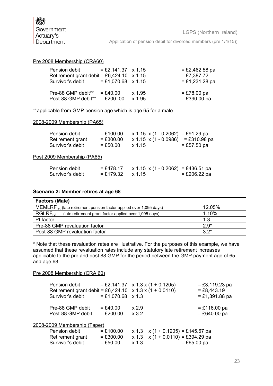#### Pre 2008 Membership (CRA60)

| Pension debit<br>Retirement grant debit = £6,424.10 $\times$ 1.15<br>Survivor's debit | $=$ £2,141.37 $\times$ 1.15<br>$= £1,070.68 \times 1.15$ |        | $=$ £2,462.58 pa<br>$= £7,387.72$<br>$= £1,231.28$ pa |
|---------------------------------------------------------------------------------------|----------------------------------------------------------|--------|-------------------------------------------------------|
| Pre-88 GMP debit**                                                                    | $= £40.00$                                               | x 1.95 | $= £78.00$ pa                                         |
| Post-88 GMP debit** = £200.00                                                         |                                                          | x 1.95 | $= £390.00$ pa                                        |

\*\*applicable from GMP pension age which is age 65 for a male

#### 2008-2009 Membership (PA65)

| Pension debit<br>Retirement grant<br>Survivor's debit | $= £100.00$<br>$= £300.00$<br>$= £50.00$ | $x 1.15 x (1 - 0.2062) = £91.29$ pa<br>$x 1.15 x (1 - 0.0986)$<br>x 1.15 | $= £310.98$ pa<br>$= £57.50$ pa |
|-------------------------------------------------------|------------------------------------------|--------------------------------------------------------------------------|---------------------------------|
| Post 2009 Membership (PA65)                           |                                          |                                                                          |                                 |
| Pension debit<br>Survivor's debit                     | $= £478.17$<br>$= £179.32$               | $x$ 1.15 $x$ (1 - 0.2062) = £436.51 pa<br>$x\,1.15$                      | $= £206.22$ pa                  |

#### **Scenario 2: Member retires at age 68**

| <b>Factors (Male)</b>                                                                 |        |  |  |  |
|---------------------------------------------------------------------------------------|--------|--|--|--|
| MEMLRF <sub>ret</sub> (late retirement pension factor applied over 1,095 days)        | 12.05% |  |  |  |
| <b>RGLRF</b> <sub>ret</sub><br>(late retirement grant factor applied over 1,095 days) | 1.10%  |  |  |  |
| PI factor                                                                             | 1.3    |  |  |  |
| Pre-88 GMP revaluation factor                                                         | $2.9*$ |  |  |  |
| Post-88 GMP revaluation factor                                                        | $3.2*$ |  |  |  |

\* Note that these revaluation rates are illustrative. For the purposes of this example, we have assumed that these revaluation rates include any statutory late retirement increases applicable to the pre and post 88 GMP for the period between the GMP payment age of 65 and age 68.

#### Pre 2008 Membership (CRA 60)

| Pension debit<br>Retirement grant debit = £6,424.10 $\times$ 1.3 $\times$ (1 + 0.0110)<br>Survivor's debit | $= £1,070.68 \times 1.3$   |                  | $=$ £2,141.37 $\times$ 1.3 $\times$ (1 + 0.1205)                               | $= £3,119.23$ pa<br>$=$ £8,443.19<br>$= £1,391.88$ pa |
|------------------------------------------------------------------------------------------------------------|----------------------------|------------------|--------------------------------------------------------------------------------|-------------------------------------------------------|
| Pre-88 GMP debit<br>Post-88 GMP debit                                                                      | $= £40.00$<br>$= £200.00$  | x 2.9<br>$x$ 3.2 |                                                                                | $= £116.00$ pa<br>$= £640.00$ pa                      |
| 2008-2009 Membership (Taper)<br>Pension debit<br>Retirement grant                                          | $= £100.00$<br>$= £300.00$ |                  | $x 1.3$ $x (1 + 0.1205) = £145.67$ pa<br>$x 1.3$ $x (1 + 0.0110) = £394.29$ pa |                                                       |
| Survivor's debit                                                                                           | $= £50.00$                 | $x$ 1.3          |                                                                                | $= £65.00$ pa                                         |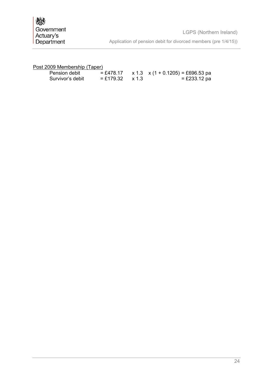| Pension debit    |                          | $=$ £478.17 x 1.3 x (1 + 0.1205) = £696.53 pa |
|------------------|--------------------------|-----------------------------------------------|
| Survivor's debit | $=$ £179.32 $\times$ 1.3 | $= £233.12$ pa                                |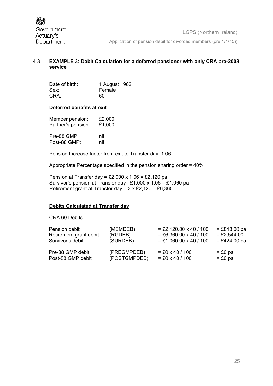## 4.3 **EXAMPLE 3: Debit Calculation for a deferred pensioner with only CRA pre-2008 service**

| Date of birth: | 1 August 1962 |
|----------------|---------------|
| Sex:           | Female        |
| CRA:           | 60            |

#### **Deferred benefits at exit**

| Member pension:    | £2,000 |
|--------------------|--------|
| Partner's pension: | £1,000 |
| Pre-88 GMP:        | nil    |
| Post-88 GMP:       | nil    |

Pension Increase factor from exit to Transfer day: 1.06

Appropriate Percentage specified in the pension sharing order = 40%

Pension at Transfer day = £2,000 x  $1.06 = \text{\textsterling}2,120$  pa Survivor's pension at Transfer day= £1,000 x 1.06 = £1,060 pa Retirement grant at Transfer day = 3 x £2,120 = £6,360

## **Debits Calculated at Transfer day**

#### CRA 60 Debits

| Pension debit          | (MEMDEB)     | $=$ £2,120.00 x 40 / 100 | $=$ £848.00 pa |
|------------------------|--------------|--------------------------|----------------|
| Retirement grant debit | (RGDEB)      | $=$ £6,360.00 x 40 / 100 | $=$ £2,544.00  |
| Survivor's debit       | (SURDEB)     | $=$ £1,060.00 x 40 / 100 | $=$ £424.00 pa |
| Pre-88 GMP debit       | (PREGMPDEB)  | $= £0 \times 40 / 100$   | $=$ £0 pa      |
| Post-88 GMP debit      | (POSTGMPDEB) | $= £0 \times 40 / 100$   | $= £0$ pa      |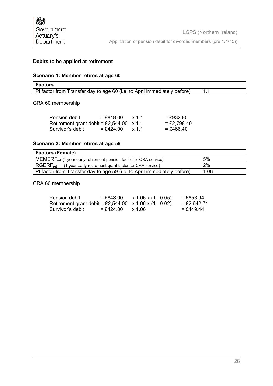## **Debits to be applied at retirement**

## **Scenario 1: Member retires at age 60**

| <b>Factors</b>                                                           |  |
|--------------------------------------------------------------------------|--|
| PI factor from Transfer day to age 60 (i.e. to April immediately before) |  |

#### CRA 60 membership

| Pension debit                                   | $=$ £848.00 | x 1 1 | $= £932.80$   |
|-------------------------------------------------|-------------|-------|---------------|
| Retirement grant debit = £2,544.00 $\times$ 1.1 |             |       | $=$ £2,798.40 |
| Survivor's debit                                | $=$ £424.00 | x 1.1 | $=$ £466.40   |

## **Scenario 2: Member retires at age 59**

| <b>Factors (Female)</b>                                                        |      |  |  |  |
|--------------------------------------------------------------------------------|------|--|--|--|
| MEMERF <sub>ret</sub> (1 year early retirement pension factor for CRA service) | 5%   |  |  |  |
| $RGERF_{ret}$<br>(1 year early retirement grant factor for CRA service)        | 2%   |  |  |  |
| PI factor from Transfer day to age 59 (i.e. to April immediately before)       | 1.06 |  |  |  |

## CRA 60 membership

| Pension debit                                                 | $= \pounds848.00$ | $x 1.06 x (1 - 0.05)$ | $= \pounds853.94$ |
|---------------------------------------------------------------|-------------------|-----------------------|-------------------|
| Retirement grant debit = £2,544.00 $\times$ 1.06 x (1 - 0.02) |                   |                       | $=$ £2,642.71     |
| Survivor's debit                                              | $=$ £424.00       | x 1.06                | $=$ £449.44       |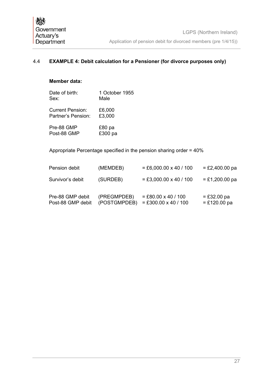## 4.4 **EXAMPLE 4: Debit calculation for a Pensioner (for divorce purposes only)**

## **Member data:**

| Date of birth:          | 1 October 1955 |
|-------------------------|----------------|
| Sex:                    | Male           |
| <b>Current Pension:</b> | £6,000         |
| Partner's Pension:      | £3,000         |
| Pre-88 GMP              | £80 pa         |
| Post-88 GMP             | £300 pa        |

Appropriate Percentage specified in the pension sharing order = 40%

| Pension debit                         | (MEMDEB)                    | $= \pounds 6,000.00 \times 40 / 100$            | $=$ £2,400.00 pa                |
|---------------------------------------|-----------------------------|-------------------------------------------------|---------------------------------|
| Survivor's debit                      | (SURDEB)                    | $=$ £3,000.00 x 40 / 100                        | $=$ £1,200.00 pa                |
| Pre-88 GMP debit<br>Post-88 GMP debit | (PREGMPDEB)<br>(POSTGMPDEB) | $=$ £80.00 x 40 / 100<br>$=$ £300.00 x 40 / 100 | $= £32.00$ pa<br>$= £120.00$ pa |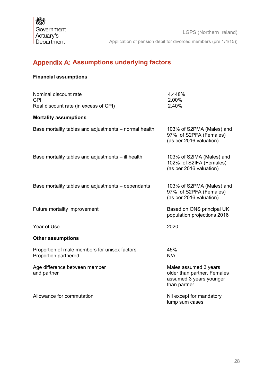## <span id="page-29-0"></span>**Appendix A: Assumptions underlying factors**

## **Financial assumptions**

| Nominal discount rate<br><b>CPI</b>                                   | 4.448%<br>2.00%                                                                                  |
|-----------------------------------------------------------------------|--------------------------------------------------------------------------------------------------|
| Real discount rate (in excess of CPI)                                 | 2.40%                                                                                            |
| <b>Mortality assumptions</b>                                          |                                                                                                  |
| Base mortality tables and adjustments – normal health                 | 103% of S2PMA (Males) and<br>97% of S2PFA (Females)<br>(as per 2016 valuation)                   |
| Base mortality tables and adjustments - ill health                    | 103% of S2IMA (Males) and<br>102% of S2IFA (Females)<br>(as per 2016 valuation)                  |
| Base mortality tables and adjustments – dependants                    | 103% of S2PMA (Males) and<br>97% of S2PFA (Females)<br>(as per 2016 valuation)                   |
| Future mortality improvement                                          | Based on ONS principal UK<br>population projections 2016                                         |
| Year of Use                                                           | 2020                                                                                             |
| <b>Other assumptions</b>                                              |                                                                                                  |
| Proportion of male members for unisex factors<br>Proportion partnered | 45%<br>N/A                                                                                       |
| Age difference between member<br>and partner                          | Males assumed 3 years<br>older than partner. Females<br>assumed 3 years younger<br>than partner. |
| Allowance for commutation                                             | Nil except for mandatory<br>lump sum cases                                                       |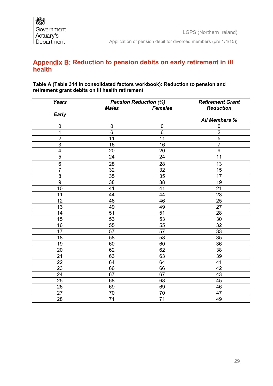## <span id="page-30-0"></span>Appendix B: Reduction to pension debits on early retirement in ill **health**

## **Table A (Table 314 in consolidated factors workbook): Reduction to pension and retirement grant debits on ill health retirement**

| <b>Years</b>    |                 | <b>Pension Reduction (%)</b> | <b>Retirement Grant</b> |
|-----------------|-----------------|------------------------------|-------------------------|
|                 | <b>Males</b>    | <b>Females</b>               | <b>Reduction</b>        |
| <b>Early</b>    |                 |                              |                         |
|                 |                 |                              | <b>All Members %</b>    |
| $\mathbf 0$     | $\mathbf 0$     | $\mathbf 0$                  | $\mathbf 0$             |
| $\overline{1}$  | $6\phantom{1}$  | $6\phantom{1}6$              | $\overline{2}$          |
| $\overline{2}$  | $\overline{11}$ | 11                           | $\overline{5}$          |
| $\overline{3}$  | 16              | 16                           | $\overline{7}$          |
| $\overline{4}$  | 20              | 20                           | $\overline{9}$          |
| 5               | 24              | 24                           | 11                      |
| 6               | 28              | 28                           | 13                      |
| $\overline{7}$  | $\overline{32}$ | 32                           | 15                      |
| 8               | 35              | 35                           | 17                      |
| $\overline{9}$  | 38              | 38                           | 19                      |
| 10              | 41              | 41                           | 21                      |
| 11              | 44              | 44                           | 23                      |
| 12              | 46              | 46                           | 25                      |
| 13              | 49              | 49                           | 27                      |
| 14              | 51              | 51                           | 28                      |
| $\overline{15}$ | 53              | 53                           | 30                      |
| 16              | 55              | 55                           | 32                      |
| $\overline{17}$ | $\overline{57}$ | 57                           | 33                      |
| 18              | 58              | 58                           | 35                      |
| 19              | 60              | 60                           | 36                      |
| 20              | 62              | 62                           | 38                      |
| 21              | 63              | 63                           | 39                      |
| 22              | 64              | 64                           | 41                      |
| 23              | 66              | 66                           | 42                      |
| 24              | 67              | 67                           | 43                      |
| 25              | 68              | 68                           | 45                      |
| 26              | 69              | 69                           | 46                      |
| 27              | 70              | 70                           | 47                      |
| 28              | 71              | 71                           | 49                      |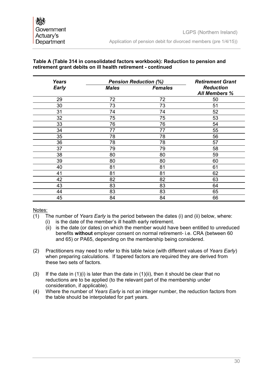#### **Table A (Table 314 in consolidated factors workbook): Reduction to pension and retirement grant debits on ill health retirement - continued**

| <b>Years</b> | <b>Pension Reduction (%)</b> |                | <b>Retirement Grant</b>                  |
|--------------|------------------------------|----------------|------------------------------------------|
| <b>Early</b> | <b>Males</b>                 | <b>Females</b> | <b>Reduction</b><br><b>All Members %</b> |
| 29           | 72                           | 72             | 50                                       |
| 30           | 73                           | 73             | 51                                       |
| 31           | 74                           | 74             | 52                                       |
| 32           | 75                           | 75             | 53                                       |
| 33           | 76                           | 76             | 54                                       |
| 34           | 77                           | 77             | 55                                       |
| 35           | 78                           | 78             | 56                                       |
| 36           | 78                           | 78             | 57                                       |
| 37           | 79                           | 79             | 58                                       |
| 38           | 80                           | 80             | 59                                       |
| 39           | 80                           | 80             | 60                                       |
| 40           | 81                           | 81             | 61                                       |
| 41           | 81                           | 81             | 62                                       |
| 42           | 82                           | 82             | 63                                       |
| 43           | 83                           | 83             | 64                                       |
| 44           | 83                           | 83             | 65                                       |
| 45           | 84                           | 84             | 66                                       |

#### Notes:

- (1) The number of *Years Early* is the period between the dates (i) and (ii) below, where:
	- (i) is the date of the member's ill health early retirement.
		- (ii) is the date (or dates) on which the member would have been entitled to unreduced benefits **without** employer consent on normal retirement- i.e. CRA (between 60 and 65) or PA65, depending on the membership being considered.
- (2) Practitioners may need to refer to this table twice (with different values of *Years Early*) when preparing calculations. If tapered factors are required they are derived from these two sets of factors.
- (3) If the date in  $(1)(i)$  is later than the date in  $(1)(ii)$ , then it should be clear that no reductions are to be applied (to the relevant part of the membership under consideration, if applicable).
- (4) Where the number of *Years Early* is not an integer number, the reduction factors from the table should be interpolated for part years.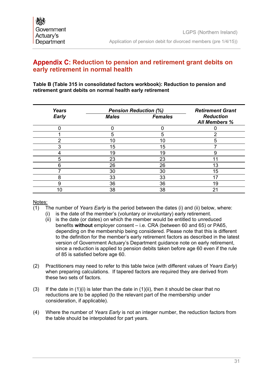## <span id="page-32-0"></span>Appendix C: Reduction to pension and retirement grant debits on **early retirement in normal health**

## **Table B (Table 315 in consolidated factors workbook): Reduction to pension and retirement grant debits on normal health early retirement**

| <b>Years</b> | <b>Pension Reduction (%)</b> |                | <b>Retirement Grant</b>                  |
|--------------|------------------------------|----------------|------------------------------------------|
| <b>Early</b> | <b>Males</b>                 | <b>Females</b> | <b>Reduction</b><br><b>All Members %</b> |
|              |                              |                |                                          |
|              | 5                            | 5              | ⌒                                        |
| າ            | 10                           | 10             | 5                                        |
| ◠            | 15                           | 15             |                                          |
|              | 19                           | 19             |                                          |
| 5            | 23                           | 23             |                                          |
| 6            | 26                           | 26             | 13                                       |
|              | 30                           | 30             | 15                                       |
| 8            | 33                           | 33             |                                          |
| 9            | 36                           | 36             | 19                                       |
|              | 38                           | 38             | 21                                       |

## Notes:

- (1) The number of *Years Early* is the period between the dates (i) and (ii) below, where:
	- (i) is the date of the member's (voluntary or involuntary) early retirement.
		- (ii) is the date (or dates) on which the member would be entitled to unreduced benefits **without** employer consent – i.e. CRA (between 60 and 65) or PA65, depending on the membership being considered. Please note that this is different to the definition for the member's early retirement factors as described in the latest version of Government Actuary's Department guidance note on early retirement, since a reduction is applied to pension debits taken before age 60 even if the rule of 85 is satisfied before age 60.
- (2) Practitioners may need to refer to this table twice (with different values of *Years Early*) when preparing calculations. If tapered factors are required they are derived from these two sets of factors.
- (3) If the date in  $(1)(i)$  is later than the date in  $(1)(ii)$ , then it should be clear that no reductions are to be applied (to the relevant part of the membership under consideration, if applicable).
- (4) Where the number of *Years Early* is not an integer number, the reduction factors from the table should be interpolated for part years.